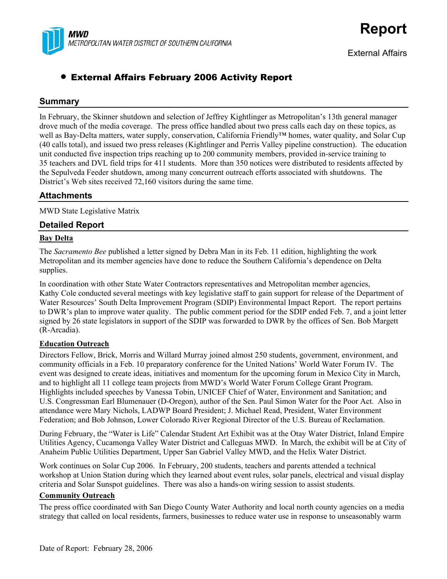

# • External Affairs February 2006 Activity Report

## **Summary**

In February, the Skinner shutdown and selection of Jeffrey Kightlinger as Metropolitan's 13th general manager drove much of the media coverage. The press office handled about two press calls each day on these topics, as well as Bay-Delta matters, water supply, conservation, California Friendly™ homes, water quality, and Solar Cup (40 calls total), and issued two press releases (Kightlinger and Perris Valley pipeline construction). The education unit conducted five inspection trips reaching up to 200 community members, provided in-service training to 35 teachers and DVL field trips for 411 students. More than 350 notices were distributed to residents affected by the Sepulveda Feeder shutdown, among many concurrent outreach efforts associated with shutdowns. The District's Web sites received 72,160 visitors during the same time.

## **Attachments**

MWD State Legislative Matrix

## **Detailed Report**

## **Bay Delta**

The *Sacramento Bee* published a letter signed by Debra Man in its Feb. 11 edition, highlighting the work Metropolitan and its member agencies have done to reduce the Southern California's dependence on Delta supplies.

In coordination with other State Water Contractors representatives and Metropolitan member agencies, Kathy Cole conducted several meetings with key legislative staff to gain support for release of the Department of Water Resources' South Delta Improvement Program (SDIP) Environmental Impact Report. The report pertains to DWR's plan to improve water quality. The public comment period for the SDIP ended Feb. 7, and a joint letter signed by 26 state legislators in support of the SDIP was forwarded to DWR by the offices of Sen. Bob Margett (R-Arcadia).

## **Education Outreach**

Directors Fellow, Brick, Morris and Willard Murray joined almost 250 students, government, environment, and community officials in a Feb. 10 preparatory conference for the United Nations' World Water Forum IV. The event was designed to create ideas, initiatives and momentum for the upcoming forum in Mexico City in March, and to highlight all 11 college team projects from MWD's World Water Forum College Grant Program. Highlights included speeches by Vanessa Tobin, UNICEF Chief of Water, Environment and Sanitation; and U.S. Congressman Earl Blumenauer (D-Oregon), author of the Sen. Paul Simon Water for the Poor Act. Also in attendance were Mary Nichols, LADWP Board President; J. Michael Read, President, Water Environment Federation; and Bob Johnson, Lower Colorado River Regional Director of the U.S. Bureau of Reclamation.

During February, the "Water is Life" Calendar Student Art Exhibit was at the Otay Water District, Inland Empire Utilities Agency, Cucamonga Valley Water District and Calleguas MWD. In March, the exhibit will be at City of Anaheim Public Utilities Department, Upper San Gabriel Valley MWD, and the Helix Water District.

Work continues on Solar Cup 2006. In February, 200 students, teachers and parents attended a technical workshop at Union Station during which they learned about event rules, solar panels, electrical and visual display criteria and Solar Sunspot guidelines. There was also a hands-on wiring session to assist students.

## **Community Outreach**

The press office coordinated with San Diego County Water Authority and local north county agencies on a media strategy that called on local residents, farmers, businesses to reduce water use in response to unseasonably warm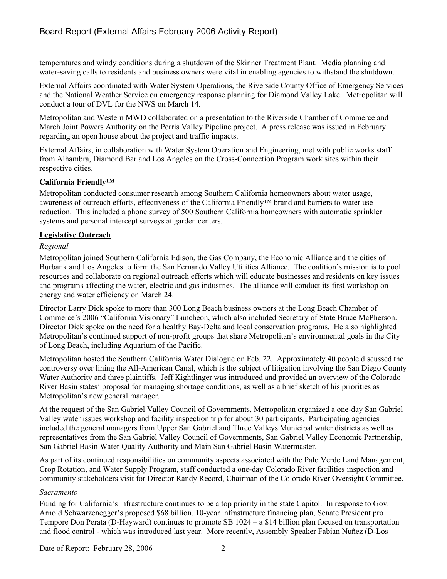# Board Report (External Affairs February 2006 Activity Report)

temperatures and windy conditions during a shutdown of the Skinner Treatment Plant. Media planning and water-saving calls to residents and business owners were vital in enabling agencies to withstand the shutdown.

External Affairs coordinated with Water System Operations, the Riverside County Office of Emergency Services and the National Weather Service on emergency response planning for Diamond Valley Lake. Metropolitan will conduct a tour of DVL for the NWS on March 14.

Metropolitan and Western MWD collaborated on a presentation to the Riverside Chamber of Commerce and March Joint Powers Authority on the Perris Valley Pipeline project. A press release was issued in February regarding an open house about the project and traffic impacts.

External Affairs, in collaboration with Water System Operation and Engineering, met with public works staff from Alhambra, Diamond Bar and Los Angeles on the Cross-Connection Program work sites within their respective cities.

### **California Friendly™**

Metropolitan conducted consumer research among Southern California homeowners about water usage, awareness of outreach efforts, effectiveness of the California Friendly™ brand and barriers to water use reduction. This included a phone survey of 500 Southern California homeowners with automatic sprinkler systems and personal intercept surveys at garden centers.

### **Legislative Outreach**

### *Regional*

Metropolitan joined Southern California Edison, the Gas Company, the Economic Alliance and the cities of Burbank and Los Angeles to form the San Fernando Valley Utilities Alliance. The coalition's mission is to pool resources and collaborate on regional outreach efforts which will educate businesses and residents on key issues and programs affecting the water, electric and gas industries. The alliance will conduct its first workshop on energy and water efficiency on March 24.

Director Larry Dick spoke to more than 300 Long Beach business owners at the Long Beach Chamber of Commerce's 2006 "California Visionary" Luncheon, which also included Secretary of State Bruce McPherson. Director Dick spoke on the need for a healthy Bay-Delta and local conservation programs. He also highlighted Metropolitan's continued support of non-profit groups that share Metropolitan's environmental goals in the City of Long Beach, including Aquarium of the Pacific.

Metropolitan hosted the Southern California Water Dialogue on Feb. 22. Approximately 40 people discussed the controversy over lining the All-American Canal, which is the subject of litigation involving the San Diego County Water Authority and three plaintiffs. Jeff Kightlinger was introduced and provided an overview of the Colorado River Basin states' proposal for managing shortage conditions, as well as a brief sketch of his priorities as Metropolitan's new general manager.

At the request of the San Gabriel Valley Council of Governments, Metropolitan organized a one-day San Gabriel Valley water issues workshop and facility inspection trip for about 30 participants. Participating agencies included the general managers from Upper San Gabriel and Three Valleys Municipal water districts as well as representatives from the San Gabriel Valley Council of Governments, San Gabriel Valley Economic Partnership, San Gabriel Basin Water Quality Authority and Main San Gabriel Basin Watermaster.

As part of its continued responsibilities on community aspects associated with the Palo Verde Land Management, Crop Rotation, and Water Supply Program, staff conducted a one-day Colorado River facilities inspection and community stakeholders visit for Director Randy Record, Chairman of the Colorado River Oversight Committee.

#### *Sacramento*

Funding for California's infrastructure continues to be a top priority in the state Capitol. In response to Gov. Arnold Schwarzenegger's proposed \$68 billion, 10-year infrastructure financing plan, Senate President pro Tempore Don Perata (D-Hayward) continues to promote SB 1024 – a \$14 billion plan focused on transportation and flood control - which was introduced last year. More recently, Assembly Speaker Fabian Nuñez (D-Los

Date of Report: February 28, 2006 2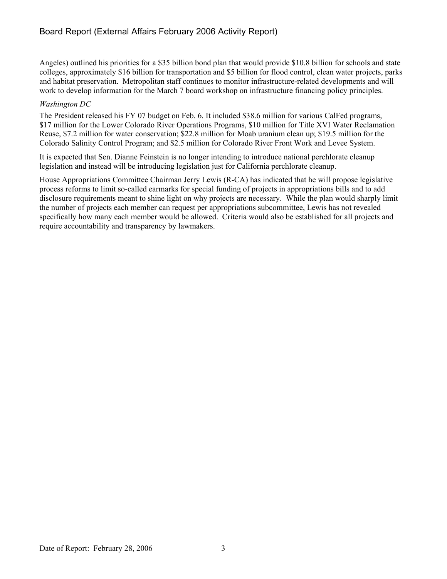Angeles) outlined his priorities for a \$35 billion bond plan that would provide \$10.8 billion for schools and state colleges, approximately \$16 billion for transportation and \$5 billion for flood control, clean water projects, parks and habitat preservation. Metropolitan staff continues to monitor infrastructure-related developments and will work to develop information for the March 7 board workshop on infrastructure financing policy principles.

## *Washington DC*

The President released his FY 07 budget on Feb. 6. It included \$38.6 million for various CalFed programs, \$17 million for the Lower Colorado River Operations Programs, \$10 million for Title XVI Water Reclamation Reuse, \$7.2 million for water conservation; \$22.8 million for Moab uranium clean up; \$19.5 million for the Colorado Salinity Control Program; and \$2.5 million for Colorado River Front Work and Levee System.

It is expected that Sen. Dianne Feinstein is no longer intending to introduce national perchlorate cleanup legislation and instead will be introducing legislation just for California perchlorate cleanup.

House Appropriations Committee Chairman Jerry Lewis (R-CA) has indicated that he will propose legislative process reforms to limit so-called earmarks for special funding of projects in appropriations bills and to add disclosure requirements meant to shine light on why projects are necessary. While the plan would sharply limit the number of projects each member can request per appropriations subcommittee, Lewis has not revealed specifically how many each member would be allowed. Criteria would also be established for all projects and require accountability and transparency by lawmakers.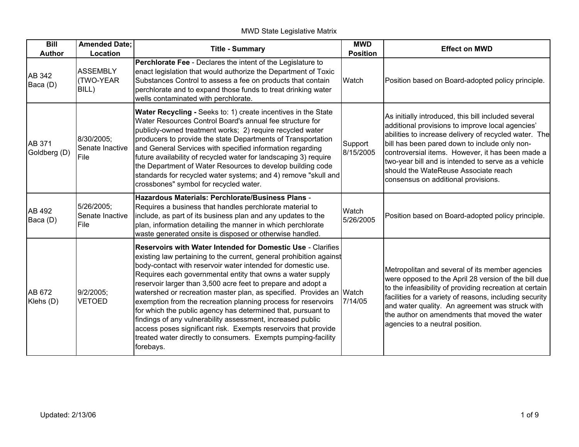# MWD State Legislative Matrix

| $\overline{Bill}$<br><b>Author</b> | <b>Amended Date;</b><br>Location            | <b>Title - Summary</b>                                                                                                                                                                                                                                                                                                                                                                                                                                                                                                                                                                                                                                                                                                                                         | <b>MWD</b><br><b>Position</b> | <b>Effect on MWD</b>                                                                                                                                                                                                                                                                                                                                                                                        |
|------------------------------------|---------------------------------------------|----------------------------------------------------------------------------------------------------------------------------------------------------------------------------------------------------------------------------------------------------------------------------------------------------------------------------------------------------------------------------------------------------------------------------------------------------------------------------------------------------------------------------------------------------------------------------------------------------------------------------------------------------------------------------------------------------------------------------------------------------------------|-------------------------------|-------------------------------------------------------------------------------------------------------------------------------------------------------------------------------------------------------------------------------------------------------------------------------------------------------------------------------------------------------------------------------------------------------------|
| AB 342<br>Baca (D)                 | <b>ASSEMBLY</b><br><b>TWO-YEAR</b><br>BILL) | Perchlorate Fee - Declares the intent of the Legislature to<br>enact legislation that would authorize the Department of Toxic<br>Substances Control to assess a fee on products that contain<br>perchlorate and to expand those funds to treat drinking water<br>wells contaminated with perchlorate.                                                                                                                                                                                                                                                                                                                                                                                                                                                          | Watch                         | Position based on Board-adopted policy principle.                                                                                                                                                                                                                                                                                                                                                           |
| AB 371<br>Goldberg (D)             | 8/30/2005;<br>Senate Inactive<br>File       | Water Recycling - Seeks to: 1) create incentives in the State<br>Water Resources Control Board's annual fee structure for<br>publicly-owned treatment works; 2) require recycled water<br>producers to provide the state Departments of Transportation<br>and General Services with specified information regarding<br>future availability of recycled water for landscaping 3) require<br>the Department of Water Resources to develop building code<br>standards for recycled water systems; and 4) remove "skull and<br>crossbones" symbol for recycled water.                                                                                                                                                                                              | Support<br>8/15/2005          | As initially introduced, this bill included several<br>additional provisions to improve local agencies'<br>abilities to increase delivery of recycled water. The<br>bill has been pared down to include only non-<br>controversial items. However, it has been made a<br>two-year bill and is intended to serve as a vehicle<br>should the WateReuse Associate reach<br>consensus on additional provisions. |
| AB 492<br>Baca (D)                 | 5/26/2005;<br>Senate Inactive<br>File       | Hazardous Materials: Perchlorate/Business Plans -<br>Requires a business that handles perchlorate material to<br>include, as part of its business plan and any updates to the<br>plan, information detailing the manner in which perchlorate<br>waste generated onsite is disposed or otherwise handled.                                                                                                                                                                                                                                                                                                                                                                                                                                                       | Watch<br>5/26/2005            | Position based on Board-adopted policy principle.                                                                                                                                                                                                                                                                                                                                                           |
| AB 672<br>Klehs (D)                | 9/2/2005;<br><b>VETOED</b>                  | <b>Reservoirs with Water Intended for Domestic Use - Clarifies</b><br>existing law pertaining to the current, general prohibition against<br>body-contact with reservoir water intended for domestic use.<br>Requires each governmental entity that owns a water supply<br>reservoir larger than 3,500 acre feet to prepare and adopt a<br>watershed or recreation master plan, as specified. Provides an Watch<br>exemption from the recreation planning process for reservoirs<br>for which the public agency has determined that, pursuant to<br>findings of any vulnerability assessment, increased public<br>access poses significant risk. Exempts reservoirs that provide<br>treated water directly to consumers. Exempts pumping-facility<br>forebays. | 7/14/05                       | Metropolitan and several of its member agencies<br>were opposed to the April 28 version of the bill due<br>to the infeasibility of providing recreation at certain<br>facilities for a variety of reasons, including security<br>and water quality. An agreement was struck with<br>the author on amendments that moved the water<br>agencies to a neutral position.                                        |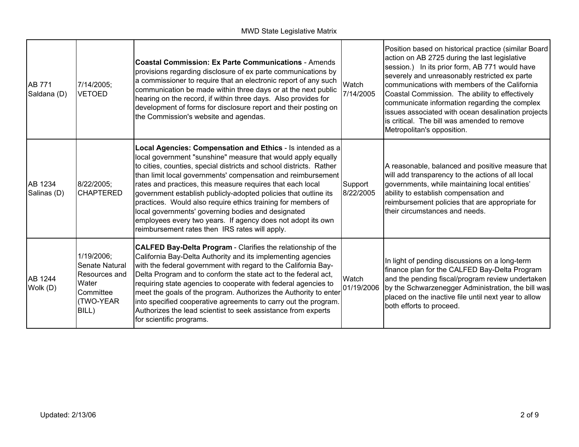| <b>AB 771</b><br>Saldana (D) | 7/14/2005;<br><b>VETOED</b>                                                               | <b>Coastal Commission: Ex Parte Communications - Amends</b><br>provisions regarding disclosure of ex parte communications by<br>a commissioner to require that an electronic report of any such<br>communication be made within three days or at the next public<br>hearing on the record, if within three days. Also provides for<br>development of forms for disclosure report and their posting on<br>the Commission's website and agendas.                                                                                                                                                                                            | Watch<br>7/14/2005   | Position based on historical practice (similar Board<br>action on AB 2725 during the last legislative<br>session.) In its prior form, AB 771 would have<br>severely and unreasonably restricted ex parte<br>communications with members of the California<br>Coastal Commission. The ability to effectively<br>communicate information regarding the complex<br>issues associated with ocean desalination projects<br>is critical. The bill was amended to remove<br>Metropolitan's opposition. |
|------------------------------|-------------------------------------------------------------------------------------------|-------------------------------------------------------------------------------------------------------------------------------------------------------------------------------------------------------------------------------------------------------------------------------------------------------------------------------------------------------------------------------------------------------------------------------------------------------------------------------------------------------------------------------------------------------------------------------------------------------------------------------------------|----------------------|-------------------------------------------------------------------------------------------------------------------------------------------------------------------------------------------------------------------------------------------------------------------------------------------------------------------------------------------------------------------------------------------------------------------------------------------------------------------------------------------------|
| AB 1234<br>Salinas (D)       | 8/22/2005;<br><b>CHAPTERED</b>                                                            | Local Agencies: Compensation and Ethics - Is intended as a<br>local government "sunshine" measure that would apply equally<br>to cities, counties, special districts and school districts. Rather<br>than limit local governments' compensation and reimbursement<br>rates and practices, this measure requires that each local<br>government establish publicly-adopted policies that outline its<br>practices. Would also require ethics training for members of<br>local governments' governing bodies and designated<br>employees every two years. If agency does not adopt its own<br>reimbursement rates then IRS rates will apply. | Support<br>8/22/2005 | A reasonable, balanced and positive measure that<br>will add transparency to the actions of all local<br>governments, while maintaining local entities'<br>ability to establish compensation and<br>reimbursement policies that are appropriate for<br>their circumstances and needs.                                                                                                                                                                                                           |
| AB 1244<br>Wolk (D)          | 1/19/2006;<br>Senate Natural<br>Resources and<br>Water<br>Committee<br>(TWO-YEAR<br>BILL) | <b>CALFED Bay-Delta Program - Clarifies the relationship of the</b><br>California Bay-Delta Authority and its implementing agencies<br>with the federal government with regard to the California Bay-<br>Delta Program and to conform the state act to the federal act,<br>requiring state agencies to cooperate with federal agencies to<br>meet the goals of the program. Authorizes the Authority to enter<br>into specified cooperative agreements to carry out the program.<br>Authorizes the lead scientist to seek assistance from experts<br>for scientific programs.                                                             | Watch<br>01/19/2006  | In light of pending discussions on a long-term<br>finance plan for the CALFED Bay-Delta Program<br>and the pending fiscal/program review undertaken<br>by the Schwarzenegger Administration, the bill was<br>placed on the inactive file until next year to allow<br>both efforts to proceed.                                                                                                                                                                                                   |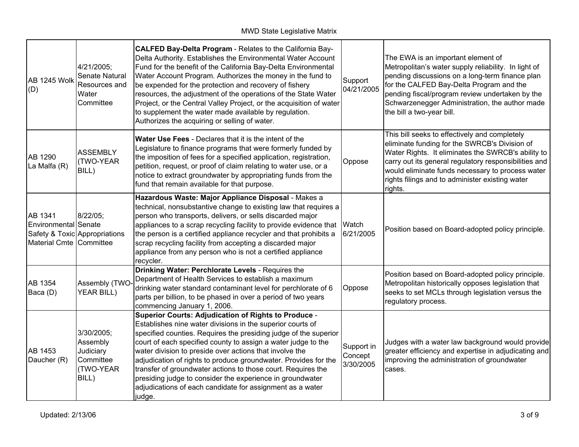| <b>AB 1245 Wolk</b><br>(D)                                 | 4/21/2005;<br>Senate Natural<br>Resources and<br>Water<br>Committee    | CALFED Bay-Delta Program - Relates to the California Bay-<br>Delta Authority. Establishes the Environmental Water Account<br>Fund for the benefit of the California Bay-Delta Environmental<br>Water Account Program. Authorizes the money in the fund to<br>be expended for the protection and recovery of fishery<br>resources, the adjustment of the operations of the State Water<br>Project, or the Central Valley Project, or the acquisition of water<br>to supplement the water made available by regulation.<br>Authorizes the acquiring or selling of water.                           | Support<br>04/21/2005              | The EWA is an important element of<br>Metropolitan's water supply reliability. In light of<br>pending discussions on a long-term finance plan<br>for the CALFED Bay-Delta Program and the<br>pending fiscal/program review undertaken by the<br>Schwarzenegger Administration, the author made<br>the bill a two-year bill.     |
|------------------------------------------------------------|------------------------------------------------------------------------|--------------------------------------------------------------------------------------------------------------------------------------------------------------------------------------------------------------------------------------------------------------------------------------------------------------------------------------------------------------------------------------------------------------------------------------------------------------------------------------------------------------------------------------------------------------------------------------------------|------------------------------------|---------------------------------------------------------------------------------------------------------------------------------------------------------------------------------------------------------------------------------------------------------------------------------------------------------------------------------|
| AB 1290<br>La Malfa (R)                                    | <b>ASSEMBLY</b><br>(TWO-YEAR<br>BILL)                                  | Water Use Fees - Declares that it is the intent of the<br>Legislature to finance programs that were formerly funded by<br>the imposition of fees for a specified application, registration,<br>petition, request, or proof of claim relating to water use, or a<br>notice to extract groundwater by appropriating funds from the<br>fund that remain available for that purpose.                                                                                                                                                                                                                 | Oppose                             | This bill seeks to effectively and completely<br>eliminate funding for the SWRCB's Division of<br>Water Rights. It eliminates the SWRCB's ability to<br>carry out its general regulatory responsibilities and<br>would eliminate funds necessary to process water<br>rights filings and to administer existing water<br>rights. |
| AB 1341<br>Environmental Senate<br>Material Cmte Committee | 8/22/05;<br>Safety & Toxic Appropriations                              | Hazardous Waste: Major Appliance Disposal - Makes a<br>technical, nonsubstantive change to existing law that requires a<br>person who transports, delivers, or sells discarded major<br>appliances to a scrap recycling facility to provide evidence that Watch<br>the person is a certified appliance recycler and that prohibits a<br>scrap recycling facility from accepting a discarded major<br>appliance from any person who is not a certified appliance<br>recycler.                                                                                                                     | 6/21/2005                          | Position based on Board-adopted policy principle.                                                                                                                                                                                                                                                                               |
| AB 1354<br>Baca (D)                                        | Assembly (TWO-<br><b>YEAR BILL)</b>                                    | Drinking Water: Perchlorate Levels - Requires the<br>Department of Health Services to establish a maximum<br>drinking water standard contaminant level for perchlorate of 6<br>parts per billion, to be phased in over a period of two years<br>commencing January 1, 2006.                                                                                                                                                                                                                                                                                                                      | Oppose                             | Position based on Board-adopted policy principle.<br>Metropolitan historically opposes legislation that<br>seeks to set MCLs through legislation versus the<br>regulatory process.                                                                                                                                              |
| AB 1453<br>Daucher (R)                                     | 3/30/2005;<br>Assembly<br>Judiciary<br>Committee<br>(TWO-YEAR<br>BILL) | <b>Superior Courts: Adjudication of Rights to Produce -</b><br>Establishes nine water divisions in the superior courts of<br>specified counties. Requires the presiding judge of the superior<br>court of each specified county to assign a water judge to the<br>water division to preside over actions that involve the<br>adjudication of rights to produce groundwater. Provides for the<br>transfer of groundwater actions to those court. Requires the<br>presiding judge to consider the experience in groundwater<br>adjudications of each candidate for assignment as a water<br>judge. | Support in<br>Concept<br>3/30/2005 | Judges with a water law background would provide<br>greater efficiency and expertise in adjudicating and<br>improving the administration of groundwater<br>cases.                                                                                                                                                               |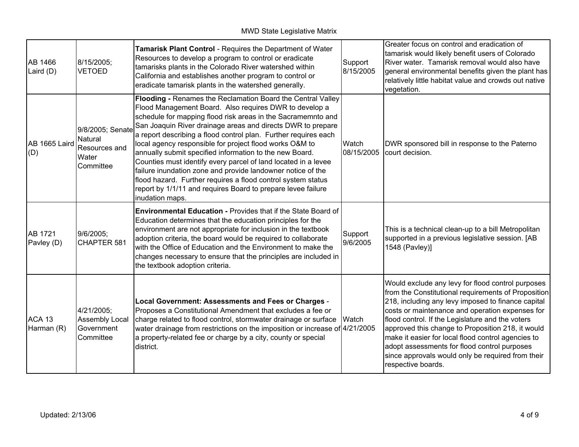| AB 1466<br>Laird $(D)$       | 8/15/2005;<br><b>VETOED</b>                                        | Tamarisk Plant Control - Requires the Department of Water<br>Resources to develop a program to control or eradicate<br>tamarisks plants in the Colorado River watershed within<br>California and establishes another program to control or<br>eradicate tamarisk plants in the watershed generally.                                                                                                                                                                                                                                                                                                                                                                                                                               | Support<br>8/15/2005 | Greater focus on control and eradication of<br>tamarisk would likely benefit users of Colorado<br>River water. Tamarisk removal would also have<br>general environmental benefits given the plant has<br>relatively little habitat value and crowds out native<br>vegetation.                                                                                                                                                                                                                               |
|------------------------------|--------------------------------------------------------------------|-----------------------------------------------------------------------------------------------------------------------------------------------------------------------------------------------------------------------------------------------------------------------------------------------------------------------------------------------------------------------------------------------------------------------------------------------------------------------------------------------------------------------------------------------------------------------------------------------------------------------------------------------------------------------------------------------------------------------------------|----------------------|-------------------------------------------------------------------------------------------------------------------------------------------------------------------------------------------------------------------------------------------------------------------------------------------------------------------------------------------------------------------------------------------------------------------------------------------------------------------------------------------------------------|
| AB 1665 Laird<br>(D)         | 9/8/2005; Senate<br>Natural<br>Resources and<br>Water<br>Committee | Flooding - Renames the Reclamation Board the Central Valley<br>Flood Management Board. Also requires DWR to develop a<br>schedule for mapping flood risk areas in the Sacramemnto and<br>San Joaquin River drainage areas and directs DWR to prepare<br>a report describing a flood control plan. Further requires each<br>local agency responsible for project flood works O&M to<br>annually submit specified information to the new Board.<br>Counties must identify every parcel of land located in a levee<br>failure inundation zone and provide landowner notice of the<br>flood hazard. Further requires a flood control system status<br>report by 1/1/11 and requires Board to prepare levee failure<br>inudation maps. | Watch<br>08/15/2005  | DWR sponsored bill in response to the Paterno<br>court decision.                                                                                                                                                                                                                                                                                                                                                                                                                                            |
| <b>AB 1721</b><br>Pavley (D) | 9/6/2005;<br>CHAPTER 581                                           | <b>Environmental Education - Provides that if the State Board of</b><br>Education determines that the education principles for the<br>environment are not appropriate for inclusion in the textbook<br>adoption criteria, the board would be required to collaborate<br>with the Office of Education and the Environment to make the<br>changes necessary to ensure that the principles are included in<br>the textbook adoption criteria.                                                                                                                                                                                                                                                                                        | Support<br>9/6/2005  | This is a technical clean-up to a bill Metropolitan<br>supported in a previous legislative session. [AB<br>1548 (Pavley)]                                                                                                                                                                                                                                                                                                                                                                                   |
| ACA 13<br>Harman (R)         | 4/21/2005;<br>Assembly Local<br>Government<br>Committee            | Local Government: Assessments and Fees or Charges -<br>Proposes a Constitutional Amendment that excludes a fee or<br>charge related to flood control, stormwater drainage or surface<br>water drainage from restrictions on the imposition or increase of 4/21/2005<br>a property-related fee or charge by a city, county or special<br>district.                                                                                                                                                                                                                                                                                                                                                                                 | Watch                | Would exclude any levy for flood control purposes<br>from the Constitutional requirements of Proposition<br>218, including any levy imposed to finance capital<br>costs or maintenance and operation expenses for<br>flood control. If the Legislature and the voters<br>approved this change to Proposition 218, it would<br>make it easier for local flood control agencies to<br>adopt assessments for flood control purposes<br>since approvals would only be required from their<br>respective boards. |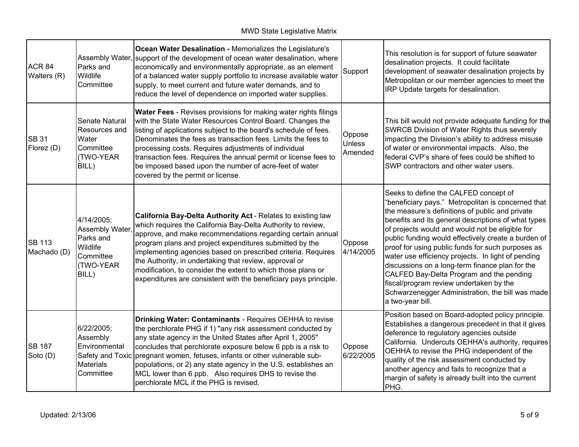| ACR <sub>84</sub><br>Walters (R) | Assembly Water,<br>Parks and<br>Wildlife<br>Committee                                        | <b>Ocean Water Desalination - Memorializes the Legislature's</b><br>support of the development of ocean water desalination, where<br>economically and environmentally appropriate, as an element<br>of a balanced water supply portfolio to increase available water<br>supply, to meet current and future water demands, and to<br>reduce the level of dependence on imported water supplies.                                                                                                                      | Support                            | This resolution is for support of future seawater<br>desalination projects. It could facilitate<br>development of seawater desalination projects by<br>Metropolitan or our member agencies to meet the<br>IRP Update targets for desalination.                                                                                                                                                                                                                                                                                                                                                                                               |
|----------------------------------|----------------------------------------------------------------------------------------------|---------------------------------------------------------------------------------------------------------------------------------------------------------------------------------------------------------------------------------------------------------------------------------------------------------------------------------------------------------------------------------------------------------------------------------------------------------------------------------------------------------------------|------------------------------------|----------------------------------------------------------------------------------------------------------------------------------------------------------------------------------------------------------------------------------------------------------------------------------------------------------------------------------------------------------------------------------------------------------------------------------------------------------------------------------------------------------------------------------------------------------------------------------------------------------------------------------------------|
| <b>SB 31</b><br>Florez (D)       | Senate Natural<br>Resources and<br>Water<br>Committee<br>(TWO-YEAR<br>BILL)                  | <b>Water Fees</b> - Revises provisions for making water rights filings<br>with the State Water Resources Control Board. Changes the<br>listing of applications subject to the board's schedule of fees.<br>Denominates the fees as transaction fees. Limits the fees to<br>processing costs. Requires adjustments of individual<br>transaction fees. Requires the annual permit or license fees to<br>be imposed based upon the number of acre-feet of water<br>covered by the permit or license.                   | Oppose<br><b>Unless</b><br>Amended | This bill would not provide adequate funding for the<br>SWRCB Division of Water Rights thus severely<br>impacting the Division's ability to address misuse<br>of water or environmental impacts. Also, the<br>federal CVP's share of fees could be shifted to<br>SWP contractors and other water users.                                                                                                                                                                                                                                                                                                                                      |
| <b>SB 113</b><br>Machado (D)     | 4/14/2005;<br>Assembly Water,<br>Parks and<br>Wildlife<br>Committee<br>(TWO-YEAR<br>BILL)    | California Bay-Delta Authority Act - Relates to existing law<br>which requires the California Bay-Delta Authority to review,<br>approve, and make recommendations regarding certain annual<br>program plans and project expenditures submitted by the<br>implementing agencies based on prescribed criteria. Requires<br>the Authority, in undertaking that review, approval or<br>modification, to consider the extent to which those plans or<br>expenditures are consistent with the beneficiary pays principle. | Oppose<br>4/14/2005                | Seeks to define the CALFED concept of<br>"beneficiary pays." Metropolitan is concerned that<br>the measure's definitions of public and private<br>benefits and its general descriptions of what types<br>of projects would and would not be eligible for<br>public funding would effectively create a burden of<br>proof for using public funds for such purposes as<br>water use efficiency projects. In light of pending<br>discussions on a long-term finance plan for the<br>CALFED Bay-Delta Program and the pending<br>fiscal/program review undertaken by the<br>Schwarzenegger Administration, the bill was made<br>a two-year bill. |
| <b>SB 187</b><br>Soto (D)        | 6/22/2005;<br>Assembly<br>Environmental<br>Safety and Toxic<br><b>Materials</b><br>Committee | Drinking Water: Contaminants - Requires OEHHA to revise<br>the perchlorate PHG if 1) "any risk assessment conducted by<br>any state agency in the United States after April 1, 2005"<br>concludes that perchlorate exposure below 6 ppb is a risk to<br>pregnant women, fetuses, infants or other vulnerable sub-<br>populations; or 2) any state agency in the U.S. establishes an<br>MCL lower than 6 ppb. Also requires DHS to revise the<br>perchlorate MCL if the PHG is revised.                              | Oppose<br>6/22/2005                | Position based on Board-adopted policy principle.<br>Establishes a dangerous precedent in that it gives<br>deference to regulatory agencies outside<br>California. Undercuts OEHHA's authority, requires<br>OEHHA to revise the PHG independent of the<br>quality of the risk assessment conducted by<br>another agency and fails to recognize that a<br>margin of safety is already built into the current<br>PHG.                                                                                                                                                                                                                          |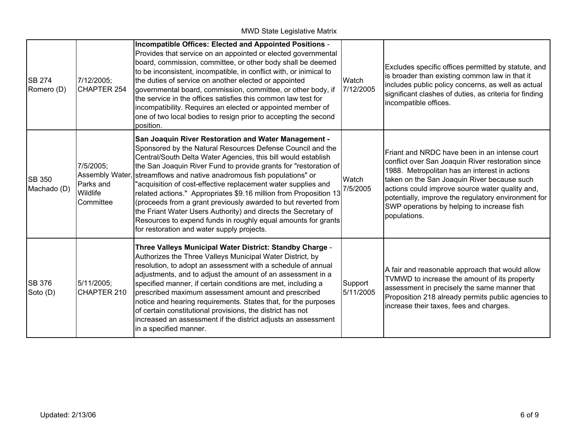| <b>SB 274</b><br>Romero (D)  | 7/12/2005;<br>CHAPTER 254                                          | Incompatible Offices: Elected and Appointed Positions -<br>Provides that service on an appointed or elected governmental<br>board, commission, committee, or other body shall be deemed<br>to be inconsistent, incompatible, in conflict with, or inimical to<br>the duties of service on another elected or appointed<br>governmental board, commission, committee, or other body, if<br>the service in the offices satisfies this common law test for<br>incompatibility. Requires an elected or appointed member of<br>one of two local bodies to resign prior to accepting the second<br>position.                                                                                                     | Watch<br>7/12/2005   | Excludes specific offices permitted by statute, and<br>is broader than existing common law in that it<br>includes public policy concerns, as well as actual<br>significant clashes of duties, as criteria for finding<br>incompatible offices.                                                                                                                             |
|------------------------------|--------------------------------------------------------------------|------------------------------------------------------------------------------------------------------------------------------------------------------------------------------------------------------------------------------------------------------------------------------------------------------------------------------------------------------------------------------------------------------------------------------------------------------------------------------------------------------------------------------------------------------------------------------------------------------------------------------------------------------------------------------------------------------------|----------------------|----------------------------------------------------------------------------------------------------------------------------------------------------------------------------------------------------------------------------------------------------------------------------------------------------------------------------------------------------------------------------|
| <b>SB 350</b><br>Machado (D) | 7/5/2005;<br>Assembly Water,<br>Parks and<br>Wildlife<br>Committee | San Joaquin River Restoration and Water Management -<br>Sponsored by the Natural Resources Defense Council and the<br>Central/South Delta Water Agencies, this bill would establish<br>the San Joaquin River Fund to provide grants for "restoration of<br>streamflows and native anadromous fish populations" or<br>'acquisition of cost-effective replacement water supplies and<br>related actions." Appropriates \$9.16 million from Proposition 13<br>(proceeds from a grant previously awarded to but reverted from<br>the Friant Water Users Authority) and directs the Secretary of<br>Resources to expend funds in roughly equal amounts for grants<br>for restoration and water supply projects. | Watch<br>7/5/2005    | Friant and NRDC have been in an intense court<br>conflict over San Joaquin River restoration since<br>1988. Metropolitan has an interest in actions<br>taken on the San Joaquin River because such<br>actions could improve source water quality and,<br>potentially, improve the regulatory environment for<br>SWP operations by helping to increase fish<br>populations. |
| <b>SB 376</b><br>Soto (D)    | 5/11/2005;<br>CHAPTER 210                                          | Three Valleys Municipal Water District: Standby Charge -<br>Authorizes the Three Valleys Municipal Water District, by<br>resolution, to adopt an assessment with a schedule of annual<br>adjustments, and to adjust the amount of an assessment in a<br>specified manner, if certain conditions are met, including a<br>prescribed maximum assessment amount and prescribed<br>notice and hearing requirements. States that, for the purposes<br>of certain constitutional provisions, the district has not<br>increased an assessment if the district adjusts an assessment<br>in a specified manner.                                                                                                     | Support<br>5/11/2005 | A fair and reasonable approach that would allow<br>TVMWD to increase the amount of its property<br>assessment in precisely the same manner that<br>Proposition 218 already permits public agencies to<br>increase their taxes, fees and charges.                                                                                                                           |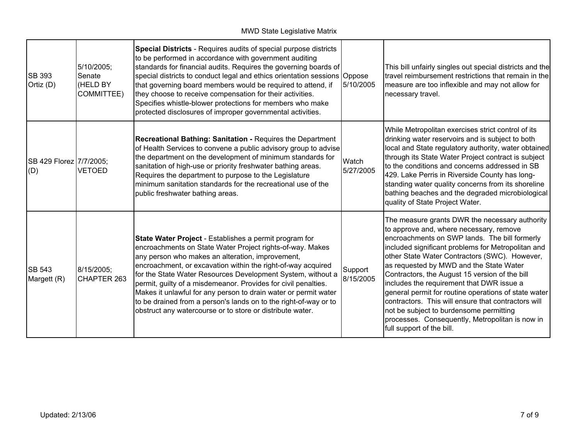| <b>SB 393</b><br>Ortiz (D)     | 5/10/2005;<br>Senate<br>(HELD BY<br><b>COMMITTEE)</b> | Special Districts - Requires audits of special purpose districts<br>to be performed in accordance with government auditing<br>standards for financial audits. Requires the governing boards of<br>special districts to conduct legal and ethics orientation sessions Oppose<br>that governing board members would be required to attend, if<br>they choose to receive compensation for their activities.<br>Specifies whistle-blower protections for members who make<br>protected disclosures of improper governmental activities.                                          | 5/10/2005            | This bill unfairly singles out special districts and the<br>travel reimbursement restrictions that remain in the<br>measure are too inflexible and may not allow for<br>necessary travel.                                                                                                                                                                                                                                                                                                                                                                                                                                             |
|--------------------------------|-------------------------------------------------------|------------------------------------------------------------------------------------------------------------------------------------------------------------------------------------------------------------------------------------------------------------------------------------------------------------------------------------------------------------------------------------------------------------------------------------------------------------------------------------------------------------------------------------------------------------------------------|----------------------|---------------------------------------------------------------------------------------------------------------------------------------------------------------------------------------------------------------------------------------------------------------------------------------------------------------------------------------------------------------------------------------------------------------------------------------------------------------------------------------------------------------------------------------------------------------------------------------------------------------------------------------|
| SB 429 Florez 7/7/2005;<br>(D) | <b>VETOED</b>                                         | <b>Recreational Bathing: Sanitation - Requires the Department</b><br>of Health Services to convene a public advisory group to advise<br>the department on the development of minimum standards for<br>sanitation of high-use or priority freshwater bathing areas.<br>Requires the department to purpose to the Legislature<br>minimum sanitation standards for the recreational use of the<br>public freshwater bathing areas.                                                                                                                                              | Watch<br>5/27/2005   | While Metropolitan exercises strict control of its<br>drinking water reservoirs and is subject to both<br>local and State regulatory authority, water obtained<br>through its State Water Project contract is subject<br>to the conditions and concerns addressed in SB<br>429. Lake Perris in Riverside County has long-<br>standing water quality concerns from its shoreline<br>bathing beaches and the degraded microbiological<br>quality of State Project Water.                                                                                                                                                                |
| <b>SB 543</b><br>Margett (R)   | 8/15/2005;<br>CHAPTER 263                             | State Water Project - Establishes a permit program for<br>encroachments on State Water Project rights-of-way. Makes<br>any person who makes an alteration, improvement,<br>encroachment, or excavation within the right-of-way acquired<br>for the State Water Resources Development System, without a<br>permit, guilty of a misdemeanor. Provides for civil penalties.<br>Makes it unlawful for any person to drain water or permit water<br>to be drained from a person's lands on to the right-of-way or to<br>obstruct any watercourse or to store or distribute water. | Support<br>8/15/2005 | The measure grants DWR the necessary authority<br>to approve and, where necessary, remove<br>encroachments on SWP lands. The bill formerly<br>included significant problems for Metropolitan and<br>other State Water Contractors (SWC). However,<br>as requested by MWD and the State Water<br>Contractors, the August 15 version of the bill<br>includes the requirement that DWR issue a<br>general permit for routine operations of state water<br>contractors. This will ensure that contractors will<br>not be subject to burdensome permitting<br>processes. Consequently, Metropolitan is now in<br>full support of the bill. |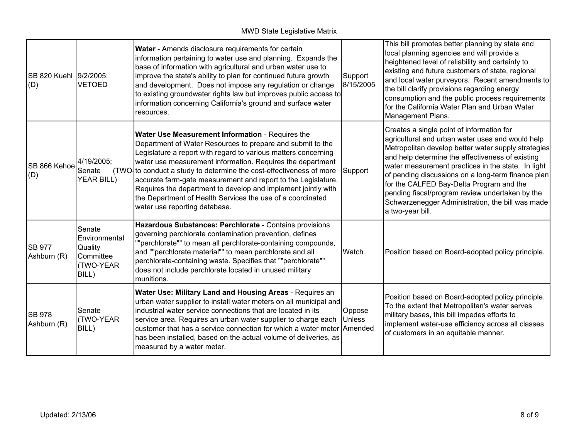MWD State Legislative Matrix

| SB 820 Kuehl 9/2/2005;<br>(D) | <b>VETOED</b>                                                         | Water - Amends disclosure requirements for certain<br>information pertaining to water use and planning. Expands the<br>base of information with agricultural and urban water use to<br>improve the state's ability to plan for continued future growth<br>and development. Does not impose any regulation or change<br>to existing groundwater rights law but improves public access to<br>information concerning California's ground and surface water<br>resources.                                                                                  | Support<br>8/15/2005    | This bill promotes better planning by state and<br>local planning agencies and will provide a<br>heightened level of reliability and certainty to<br>existing and future customers of state, regional<br>and local water purveyors. Recent amendments to<br>the bill clarify provisions regarding energy<br>consumption and the public process requirements<br>for the California Water Plan and Urban Water<br>Management Plans.                                                           |
|-------------------------------|-----------------------------------------------------------------------|--------------------------------------------------------------------------------------------------------------------------------------------------------------------------------------------------------------------------------------------------------------------------------------------------------------------------------------------------------------------------------------------------------------------------------------------------------------------------------------------------------------------------------------------------------|-------------------------|---------------------------------------------------------------------------------------------------------------------------------------------------------------------------------------------------------------------------------------------------------------------------------------------------------------------------------------------------------------------------------------------------------------------------------------------------------------------------------------------|
| SB 866 Kehoe<br>(D)           | 4/19/2005;<br>Senate<br><b>YEAR BILL)</b>                             | Water Use Measurement Information - Requires the<br>Department of Water Resources to prepare and submit to the<br>Legislature a report with regard to various matters concerning<br>water use measurement information. Requires the department<br>(TWO to conduct a study to determine the cost-effectiveness of more<br>accurate farm-gate measurement and report to the Legislature.<br>Requires the department to develop and implement jointly with<br>the Department of Health Services the use of a coordinated<br>water use reporting database. | Support                 | Creates a single point of information for<br>agricultural and urban water uses and would help<br>Metropolitan develop better water supply strategies<br>and help determine the effectiveness of existing<br>water measurement practices in the state. In light<br>of pending discussions on a long-term finance plan<br>for the CALFED Bay-Delta Program and the<br>pending fiscal/program review undertaken by the<br>Schwarzenegger Administration, the bill was made<br>a two-year bill. |
| <b>SB 977</b><br>Ashburn (R)  | Senate<br>Environmental<br>Quality<br>Committee<br>(TWO-YEAR<br>BILL) | Hazardous Substances: Perchlorate - Contains provisions<br>governing perchlorate contamination prevention, defines<br>""perchlorate"" to mean all perchlorate-containing compounds,<br>and ""perchlorate material"" to mean perchlorate and all<br>perchlorate-containing waste. Specifies that ""perchlorate""<br>does not include perchlorate located in unused military<br>munitions.                                                                                                                                                               | Watch                   | Position based on Board-adopted policy principle.                                                                                                                                                                                                                                                                                                                                                                                                                                           |
| <b>SB 978</b><br>Ashburn (R)  | Senate<br>(TWO-YEAR<br>BILL)                                          | Water Use: Military Land and Housing Areas - Requires an<br>urban water supplier to install water meters on all municipal and<br>industrial water service connections that are located in its<br>service area. Requires an urban water supplier to charge each<br>customer that has a service connection for which a water meter Amended<br>has been installed, based on the actual volume of deliveries, as<br>measured by a water meter.                                                                                                             | Oppose<br><b>Unless</b> | Position based on Board-adopted policy principle.<br>To the extent that Metropolitan's water serves<br>military bases, this bill impedes efforts to<br>implement water-use efficiency across all classes<br>of customers in an equitable manner.                                                                                                                                                                                                                                            |